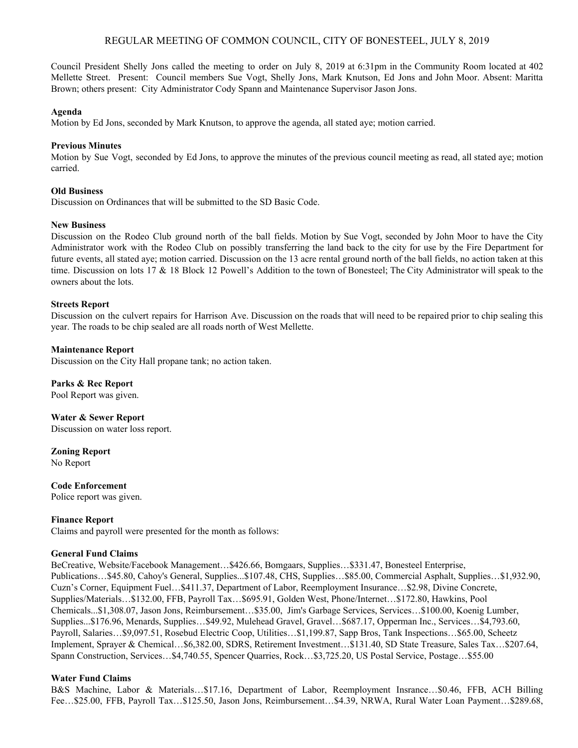# REGULAR MEETING OF COMMON COUNCIL, CITY OF BONESTEEL, JULY 8, 2019

Council President Shelly Jons called the meeting to order on July 8, 2019 at 6:31pm in the Community Room located at 402 Mellette Street. Present: Council members Sue Vogt, Shelly Jons, Mark Knutson, Ed Jons and John Moor. Absent: Maritta Brown; others present: City Administrator Cody Spann and Maintenance Supervisor Jason Jons.

#### **Agenda**

Motion by Ed Jons, seconded by Mark Knutson, to approve the agenda, all stated aye; motion carried.

## **Previous Minutes**

Motion by Sue Vogt, seconded by Ed Jons, to approve the minutes of the previous council meeting as read, all stated aye; motion carried.

## **Old Business**

Discussion on Ordinances that will be submitted to the SD Basic Code.

#### **New Business**

Discussion on the Rodeo Club ground north of the ball fields. Motion by Sue Vogt, seconded by John Moor to have the City Administrator work with the Rodeo Club on possibly transferring the land back to the city for use by the Fire Department for future events, all stated aye; motion carried. Discussion on the 13 acre rental ground north of the ball fields, no action taken at this time. Discussion on lots 17 & 18 Block 12 Powell's Addition to the town of Bonesteel; The City Administrator will speak to the owners about the lots.

## **Streets Report**

Discussion on the culvert repairs for Harrison Ave. Discussion on the roads that will need to be repaired prior to chip sealing this year. The roads to be chip sealed are all roads north of West Mellette.

## **Maintenance Report**

Discussion on the City Hall propane tank; no action taken.

**Parks & Rec Report** Pool Report was given.

**Water & Sewer Report** Discussion on water loss report.

**Zoning Report** No Report

**Code Enforcement** Police report was given.

#### **Finance Report**

Claims and payroll were presented for the month as follows:

## **General Fund Claims**

BeCreative, Website/Facebook Management…\$426.66, Bomgaars, Supplies…\$331.47, Bonesteel Enterprise, Publications…\$45.80, Cahoy's General, Supplies...\$107.48, CHS, Supplies…\$85.00, Commercial Asphalt, Supplies…\$1,932.90, Cuzn's Corner, Equipment Fuel…\$411.37, Department of Labor, Reemployment Insurance…\$2.98, Divine Concrete, Supplies/Materials…\$132.00, FFB, Payroll Tax…\$695.91, Golden West, Phone/Internet…\$172.80, Hawkins, Pool Chemicals...\$1,308.07, Jason Jons, Reimbursement…\$35.00, Jim's Garbage Services, Services…\$100.00, Koenig Lumber, Supplies...\$176.96, Menards, Supplies…\$49.92, Mulehead Gravel, Gravel…\$687.17, Opperman Inc., Services…\$4,793.60, Payroll, Salaries…\$9,097.51, Rosebud Electric Coop, Utilities…\$1,199.87, Sapp Bros, Tank Inspections…\$65.00, Scheetz Implement, Sprayer & Chemical…\$6,382.00, SDRS, Retirement Investment…\$131.40, SD State Treasure, Sales Tax…\$207.64, Spann Construction, Services…\$4,740.55, Spencer Quarries, Rock…\$3,725.20, US Postal Service, Postage…\$55.00

## **Water Fund Claims**

B&S Machine, Labor & Materials…\$17.16, Department of Labor, Reemployment Insrance…\$0.46, FFB, ACH Billing Fee…\$25.00, FFB, Payroll Tax…\$125.50, Jason Jons, Reimbursement…\$4.39, NRWA, Rural Water Loan Payment…\$289.68,